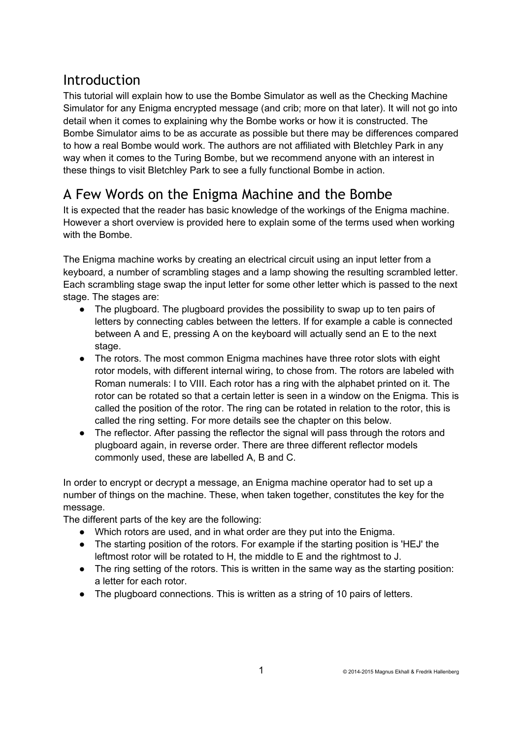### Introduction

This tutorial will explain how to use the Bombe Simulator as well as the Checking Machine Simulator for any Enigma encrypted message (and crib; more on that later). It will not go into detail when it comes to explaining why the Bombe works or how it is constructed. The Bombe Simulator aims to be as accurate as possible but there may be differences compared to how a real Bombe would work. The authors are not affiliated with Bletchley Park in any way when it comes to the Turing Bombe, but we recommend anyone with an interest in these things to visit Bletchley Park to see a fully functional Bombe in action.

# A Few Words on the Enigma Machine and the Bombe

It is expected that the reader has basic knowledge of the workings of the Enigma machine. However a short overview is provided here to explain some of the terms used when working with the Bombe.

The Enigma machine works by creating an electrical circuit using an input letter from a keyboard, a number of scrambling stages and a lamp showing the resulting scrambled letter. Each scrambling stage swap the input letter for some other letter which is passed to the next stage. The stages are:

- The plugboard. The plugboard provides the possibility to swap up to ten pairs of letters by connecting cables between the letters. If for example a cable is connected between A and E, pressing A on the keyboard will actually send an E to the next stage.
- The rotors. The most common Enigma machines have three rotor slots with eight rotor models, with different internal wiring, to chose from. The rotors are labeled with Roman numerals: I to VIII. Each rotor has a ring with the alphabet printed on it. The rotor can be rotated so that a certain letter is seen in a window on the Enigma. This is called the position of the rotor. The ring can be rotated in relation to the rotor, this is called the ring setting. For more details see the chapter on this below.
- The reflector. After passing the reflector the signal will pass through the rotors and plugboard again, in reverse order. There are three different reflector models commonly used, these are labelled A, B and C.

In order to encrypt or decrypt a message, an Enigma machine operator had to set up a number of things on the machine. These, when taken together, constitutes the key for the message.

The different parts of the key are the following:

- Which rotors are used, and in what order are they put into the Enigma.
- The starting position of the rotors. For example if the starting position is 'HEJ' the leftmost rotor will be rotated to H, the middle to E and the rightmost to J.
- The ring setting of the rotors. This is written in the same way as the starting position: a letter for each rotor.
- The plugboard connections. This is written as a string of 10 pairs of letters.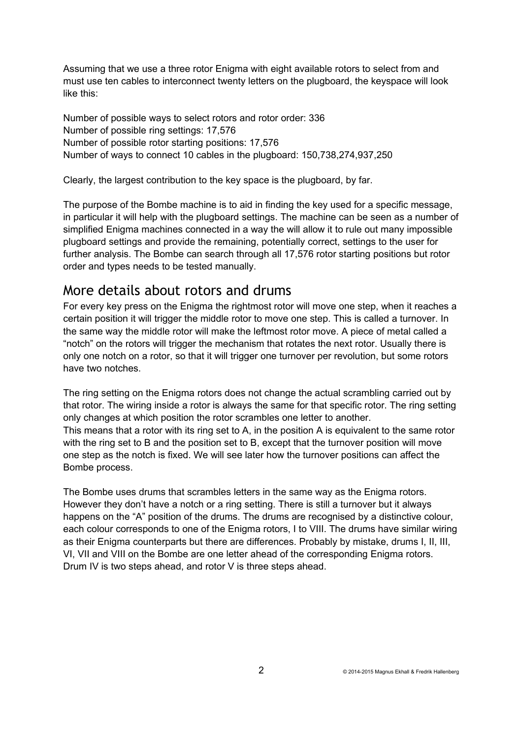Assuming that we use a three rotor Enigma with eight available rotors to select from and must use ten cables to interconnect twenty letters on the plugboard, the keyspace will look like this:

Number of possible ways to select rotors and rotor order: 336 Number of possible ring settings: 17,576 Number of possible rotor starting positions: 17,576 Number of ways to connect 10 cables in the plugboard: 150,738,274,937,250

Clearly, the largest contribution to the key space is the plugboard, by far.

The purpose of the Bombe machine is to aid in finding the key used for a specific message, in particular it will help with the plugboard settings. The machine can be seen as a number of simplified Enigma machines connected in a way the will allow it to rule out many impossible plugboard settings and provide the remaining, potentially correct, settings to the user for further analysis. The Bombe can search through all 17,576 rotor starting positions but rotor order and types needs to be tested manually.

#### More details about rotors and drums

For every key press on the Enigma the rightmost rotor will move one step, when it reaches a certain position it will trigger the middle rotor to move one step. This is called a turnover. In the same way the middle rotor will make the leftmost rotor move. A piece of metal called a "notch" on the rotors will trigger the mechanism that rotates the next rotor. Usually there is only one notch on a rotor, so that it will trigger one turnover per revolution, but some rotors have two notches.

The ring setting on the Enigma rotors does not change the actual scrambling carried out by that rotor. The wiring inside a rotor is always the same for that specific rotor. The ring setting only changes at which position the rotor scrambles one letter to another. This means that a rotor with its ring set to A, in the position A is equivalent to the same rotor with the ring set to B and the position set to B, except that the turnover position will move one step as the notch is fixed. We will see later how the turnover positions can affect the Bombe process.

The Bombe uses drums that scrambles letters in the same way as the Enigma rotors. However they don't have a notch or a ring setting. There is still a turnover but it always happens on the "A" position of the drums. The drums are recognised by a distinctive colour, each colour corresponds to one of the Enigma rotors, I to VIII. The drums have similar wiring as their Enigma counterparts but there are differences. Probably by mistake, drums I, II, III, VI, VII and VIII on the Bombe are one letter ahead of the corresponding Enigma rotors. Drum IV is two steps ahead, and rotor V is three steps ahead.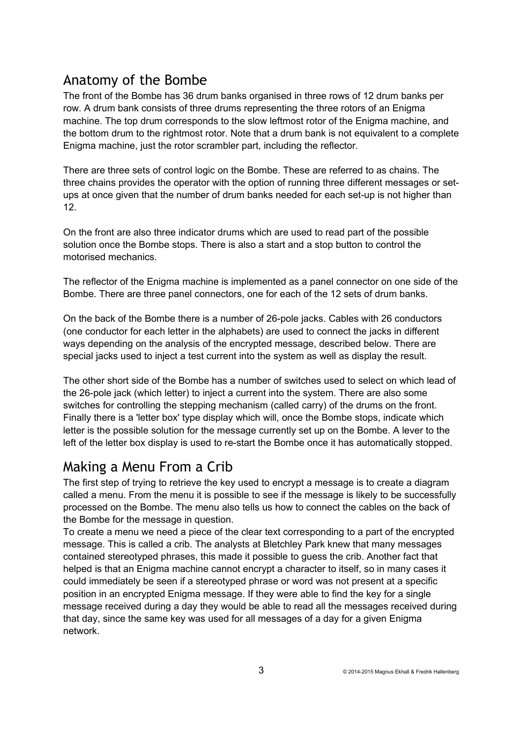### Anatomy of the Bombe

The front of the Bombe has 36 drum banks organised in three rows of 12 drum banks per row. A drum bank consists of three drums representing the three rotors of an Enigma machine. The top drum corresponds to the slow leftmost rotor of the Enigma machine, and the bottom drum to the rightmost rotor. Note that a drum bank is not equivalent to a complete Enigma machine, just the rotor scrambler part, including the reflector.

There are three sets of control logic on the Bombe. These are referred to as chains. The three chains provides the operator with the option of running three different messages or setups at once given that the number of drum banks needed for each set-up is not higher than 12.

On the front are also three indicator drums which are used to read part of the possible solution once the Bombe stops. There is also a start and a stop button to control the motorised mechanics.

The reflector of the Enigma machine is implemented as a panel connector on one side of the Bombe. There are three panel connectors, one for each of the 12 sets of drum banks.

On the back of the Bombe there is a number of 26-pole jacks. Cables with 26 conductors (one conductor for each letter in the alphabets) are used to connect the jacks in different ways depending on the analysis of the encrypted message, described below. There are special jacks used to inject a test current into the system as well as display the result.

The other short side of the Bombe has a number of switches used to select on which lead of the 26-pole jack (which letter) to inject a current into the system. There are also some switches for controlling the stepping mechanism (called carry) of the drums on the front. Finally there is a 'letter box' type display which will, once the Bombe stops, indicate which letter is the possible solution for the message currently set up on the Bombe. A lever to the left of the letter box display is used to re-start the Bombe once it has automatically stopped.

### Making a Menu From a Crib

The first step of trying to retrieve the key used to encrypt a message is to create a diagram called a menu. From the menu it is possible to see if the message is likely to be successfully processed on the Bombe. The menu also tells us how to connect the cables on the back of the Bombe for the message in question.

To create a menu we need a piece of the clear text corresponding to a part of the encrypted message. This is called a crib. The analysts at Bletchley Park knew that many messages contained stereotyped phrases, this made it possible to guess the crib. Another fact that helped is that an Enigma machine cannot encrypt a character to itself, so in many cases it could immediately be seen if a stereotyped phrase or word was not present at a specific position in an encrypted Enigma message. If they were able to find the key for a single message received during a day they would be able to read all the messages received during that day, since the same key was used for all messages of a day for a given Enigma network.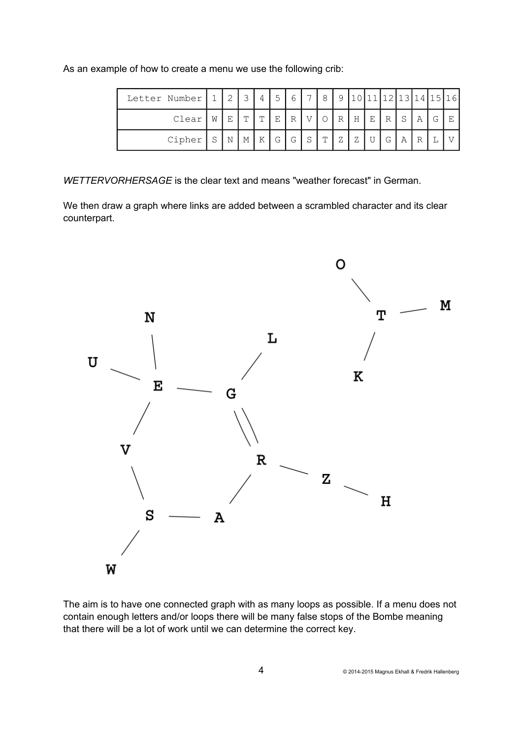| As an example of how to create a menu we use the following crib: |  |  |  |  |  |  |  |  |
|------------------------------------------------------------------|--|--|--|--|--|--|--|--|
|------------------------------------------------------------------|--|--|--|--|--|--|--|--|

| Letter Number   1 |   | $\sim$ | ⊋ |               | $\sqrt{2}$ | 6 | $\overline{ }$ | 8         | $\Omega$       |   |   |              |   |              |   | 11011112113114115116 |
|-------------------|---|--------|---|---------------|------------|---|----------------|-----------|----------------|---|---|--------------|---|--------------|---|----------------------|
| Clear             | W | Ε      | m | $^{\text{m}}$ | E          | R |                |           | $\mathbb{R}$   | Η | Е | $\mathbb{R}$ | S | Α            | G |                      |
| Cipher            | S | N      | М | K             | G          | G | $\mathbf{C}$   | <b>TT</b> | $\overline{7}$ | Ζ |   | G            | Α | $\mathbb{R}$ |   |                      |

*WETTERVORHERSAGE* is the clear text and means "weather forecast" in German.

We then draw a graph where links are added between a scrambled character and its clear counterpart.



The aim is to have one connected graph with as many loops as possible. If a menu does not contain enough letters and/or loops there will be many false stops of the Bombe meaning that there will be a lot of work until we can determine the correct key.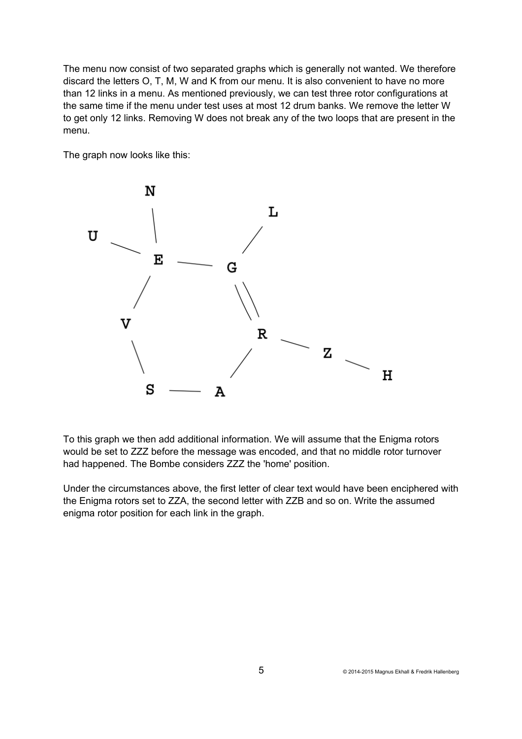The menu now consist of two separated graphs which is generally not wanted. We therefore discard the letters O, T, M, W and K from our menu. It is also convenient to have no more than 12 links in a menu. As mentioned previously, we can test three rotor configurations at the same time if the menu under test uses at most 12 drum banks. We remove the letter W to get only 12 links. Removing W does not break any of the two loops that are present in the menu.

The graph now looks like this:



To this graph we then add additional information. We will assume that the Enigma rotors would be set to ZZZ before the message was encoded, and that no middle rotor turnover had happened. The Bombe considers ZZZ the 'home' position.

Under the circumstances above, the first letter of clear text would have been enciphered with the Enigma rotors set to ZZA, the second letter with ZZB and so on. Write the assumed enigma rotor position for each link in the graph.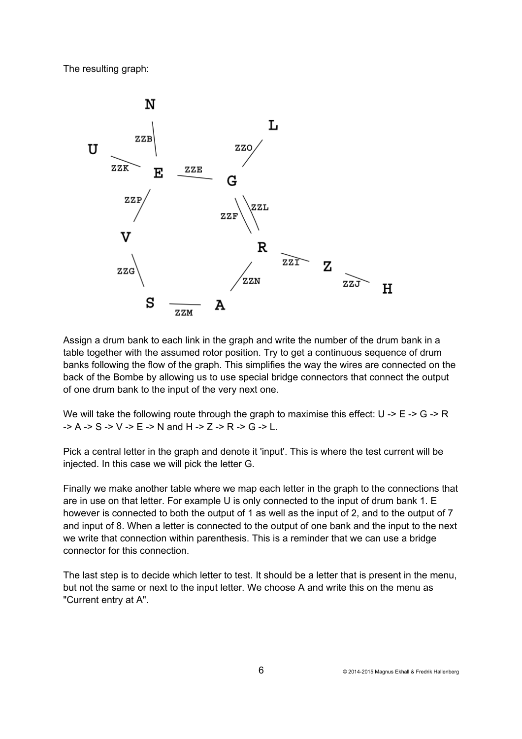The resulting graph:



Assign a drum bank to each link in the graph and write the number of the drum bank in a table together with the assumed rotor position. Try to get a continuous sequence of drum banks following the flow of the graph. This simplifies the way the wires are connected on the back of the Bombe by allowing us to use special bridge connectors that connect the output of one drum bank to the input of the very next one.

We will take the following route through the graph to maximise this effect:  $U \rightarrow E \rightarrow G \rightarrow R$  $-$ > A -> S -> V -> E -> N and H -> Z -> R -> G -> L.

Pick a central letter in the graph and denote it 'input'. This is where the test current will be injected. In this case we will pick the letter G.

Finally we make another table where we map each letter in the graph to the connections that are in use on that letter. For example U is only connected to the input of drum bank 1. E however is connected to both the output of 1 as well as the input of 2, and to the output of 7 and input of 8. When a letter is connected to the output of one bank and the input to the next we write that connection within parenthesis. This is a reminder that we can use a bridge connector for this connection.

The last step is to decide which letter to test. It should be a letter that is present in the menu, but not the same or next to the input letter. We choose A and write this on the menu as "Current entry at A".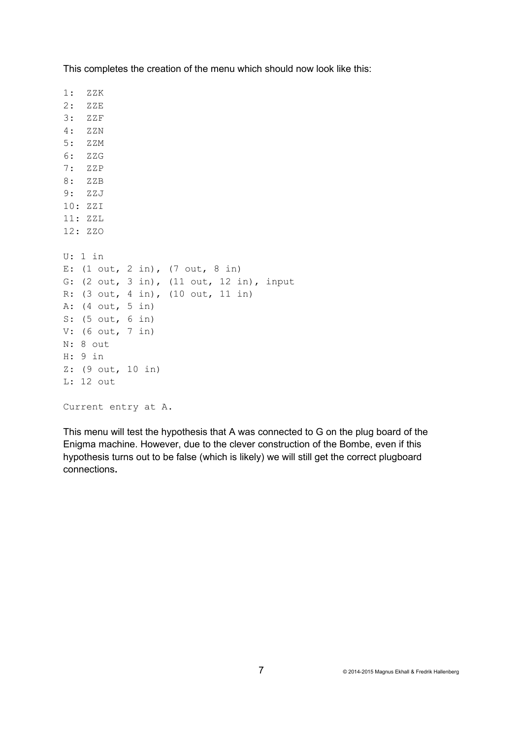| 1: ZZK               |                                                                                                                                                                                                                                                        |
|----------------------|--------------------------------------------------------------------------------------------------------------------------------------------------------------------------------------------------------------------------------------------------------|
| $2:$ ZZE             |                                                                                                                                                                                                                                                        |
| $3:$ ZZF             |                                                                                                                                                                                                                                                        |
| 4: ZZN               |                                                                                                                                                                                                                                                        |
| $5:$ ZZM             |                                                                                                                                                                                                                                                        |
| 6: ZZG               |                                                                                                                                                                                                                                                        |
| 7: ZZP               |                                                                                                                                                                                                                                                        |
| 8: ZZB               |                                                                                                                                                                                                                                                        |
| 9: ZZJ               |                                                                                                                                                                                                                                                        |
| 10: ZZI              |                                                                                                                                                                                                                                                        |
| 11: ZZL              |                                                                                                                                                                                                                                                        |
| 12: ZZO              |                                                                                                                                                                                                                                                        |
| U: 1 in<br>$H: 9$ in | E: $(1 out, 2 in), (7 out, 8 in)$<br>G: (2 out, 3 in), (11 out, 12 in), input<br>R: $(3 out, 4 in), (10 out, 11 in)$<br>A: $(4 \text{ out}, 5 \text{ in})$<br>S: (5 out, 6 in)<br>V: $(6 out, 7 in)$<br>$N: 8$ out<br>Z: (9 out, 10 in)<br>$L: 12$ out |
|                      | Current entry at A.                                                                                                                                                                                                                                    |

This completes the creation of the menu which should now look like this:

This menu will test the hypothesis that A was connected to G on the plug board of the Enigma machine. However, due to the clever construction of the Bombe, even if this hypothesis turns out to be false (which is likely) we will still get the correct plugboard connections**.**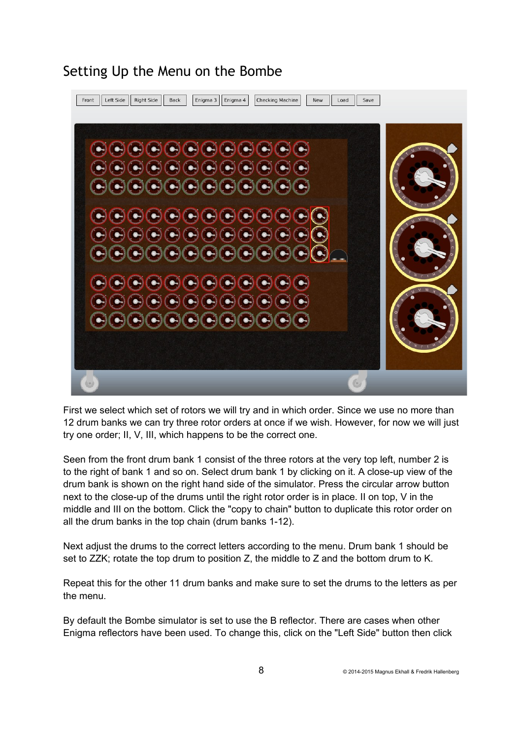

Setting Up the Menu on the Bombe

First we select which set of rotors we will try and in which order. Since we use no more than 12 drum banks we can try three rotor orders at once if we wish. However, for now we will just try one order; II, V, III, which happens to be the correct one.

Seen from the front drum bank 1 consist of the three rotors at the very top left, number 2 is to the right of bank 1 and so on. Select drum bank 1 by clicking on it. A close-up view of the drum bank is shown on the right hand side of the simulator. Press the circular arrow button next to the close-up of the drums until the right rotor order is in place. II on top, V in the middle and III on the bottom. Click the "copy to chain" button to duplicate this rotor order on all the drum banks in the top chain (drum banks 1-12).

Next adjust the drums to the correct letters according to the menu. Drum bank 1 should be set to ZZK; rotate the top drum to position Z, the middle to Z and the bottom drum to K.

Repeat this for the other 11 drum banks and make sure to set the drums to the letters as per the menu.

By default the Bombe simulator is set to use the B reflector. There are cases when other Enigma reflectors have been used. To change this, click on the "Left Side" button then click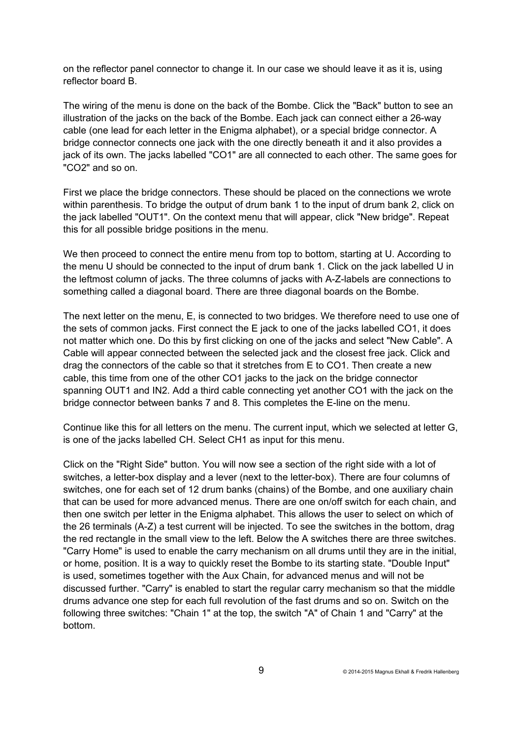on the reflector panel connector to change it. In our case we should leave it as it is, using reflector board B.

The wiring of the menu is done on the back of the Bombe. Click the "Back" button to see an illustration of the jacks on the back of the Bombe. Each jack can connect either a 26-way cable (one lead for each letter in the Enigma alphabet), or a special bridge connector. A bridge connector connects one jack with the one directly beneath it and it also provides a jack of its own. The jacks labelled "CO1" are all connected to each other. The same goes for "CO2" and so on.

First we place the bridge connectors. These should be placed on the connections we wrote within parenthesis. To bridge the output of drum bank 1 to the input of drum bank 2, click on the jack labelled "OUT1". On the context menu that will appear, click "New bridge". Repeat this for all possible bridge positions in the menu.

We then proceed to connect the entire menu from top to bottom, starting at U. According to the menu U should be connected to the input of drum bank 1. Click on the jack labelled U in the leftmost column of jacks. The three columns of jacks with A-Z-labels are connections to something called a diagonal board. There are three diagonal boards on the Bombe.

The next letter on the menu, E, is connected to two bridges. We therefore need to use one of the sets of common jacks. First connect the E jack to one of the jacks labelled CO1, it does not matter which one. Do this by first clicking on one of the jacks and select "New Cable". A Cable will appear connected between the selected jack and the closest free jack. Click and drag the connectors of the cable so that it stretches from E to CO1. Then create a new cable, this time from one of the other CO1 jacks to the jack on the bridge connector spanning OUT1 and IN2. Add a third cable connecting yet another CO1 with the jack on the bridge connector between banks 7 and 8. This completes the E-line on the menu.

Continue like this for all letters on the menu. The current input, which we selected at letter G, is one of the jacks labelled CH. Select CH1 as input for this menu.

Click on the "Right Side" button. You will now see a section of the right side with a lot of switches, a letter-box display and a lever (next to the letter-box). There are four columns of switches, one for each set of 12 drum banks (chains) of the Bombe, and one auxiliary chain that can be used for more advanced menus. There are one on/off switch for each chain, and then one switch per letter in the Enigma alphabet. This allows the user to select on which of the 26 terminals (A-Z) a test current will be injected. To see the switches in the bottom, drag the red rectangle in the small view to the left. Below the A switches there are three switches. "Carry Home" is used to enable the carry mechanism on all drums until they are in the initial, or home, position. It is a way to quickly reset the Bombe to its starting state. "Double Input" is used, sometimes together with the Aux Chain, for advanced menus and will not be discussed further. "Carry" is enabled to start the regular carry mechanism so that the middle drums advance one step for each full revolution of the fast drums and so on. Switch on the following three switches: "Chain 1" at the top, the switch "A" of Chain 1 and "Carry" at the bottom.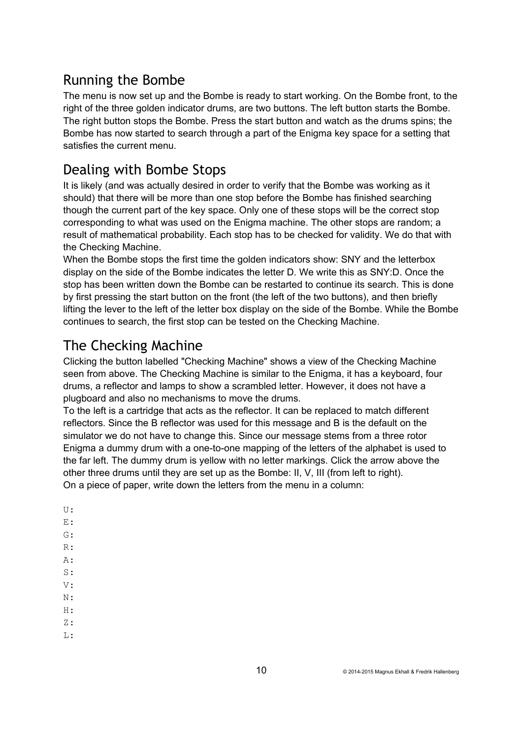## Running the Bombe

The menu is now set up and the Bombe is ready to start working. On the Bombe front, to the right of the three golden indicator drums, are two buttons. The left button starts the Bombe. The right button stops the Bombe. Press the start button and watch as the drums spins; the Bombe has now started to search through a part of the Enigma key space for a setting that satisfies the current menu.

## Dealing with Bombe Stops

It is likely (and was actually desired in order to verify that the Bombe was working as it should) that there will be more than one stop before the Bombe has finished searching though the current part of the key space. Only one of these stops will be the correct stop corresponding to what was used on the Enigma machine. The other stops are random; a result of mathematical probability. Each stop has to be checked for validity. We do that with the Checking Machine.

When the Bombe stops the first time the golden indicators show: SNY and the letterbox display on the side of the Bombe indicates the letter D. We write this as SNY:D. Once the stop has been written down the Bombe can be restarted to continue its search. This is done by first pressing the start button on the front (the left of the two buttons), and then briefly lifting the lever to the left of the letter box display on the side of the Bombe. While the Bombe continues to search, the first stop can be tested on the Checking Machine.

# The Checking Machine

Clicking the button labelled "Checking Machine" shows a view of the Checking Machine seen from above. The Checking Machine is similar to the Enigma, it has a keyboard, four drums, a reflector and lamps to show a scrambled letter. However, it does not have a plugboard and also no mechanisms to move the drums.

To the left is a cartridge that acts as the reflector. It can be replaced to match different reflectors. Since the B reflector was used for this message and B is the default on the simulator we do not have to change this. Since our message stems from a three rotor Enigma a dummy drum with a one-to-one mapping of the letters of the alphabet is used to the far left. The dummy drum is yellow with no letter markings. Click the arrow above the other three drums until they are set up as the Bombe: II, V, III (from left to right). On a piece of paper, write down the letters from the menu in a column:

- U: E:
- $G:$
- R:
- A:
- S:
- $V \cdot$
- $\mathbf{M}$ .
- $H:$
- Z:
- $T_{\perp}$ :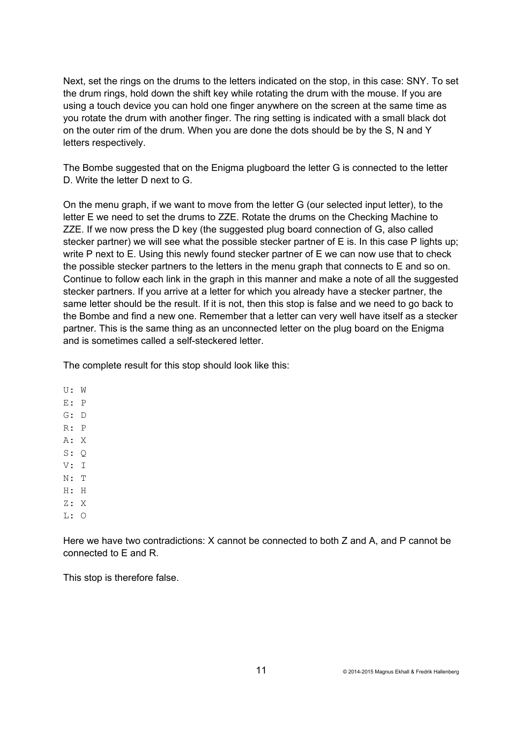Next, set the rings on the drums to the letters indicated on the stop, in this case: SNY. To set the drum rings, hold down the shift key while rotating the drum with the mouse. If you are using a touch device you can hold one finger anywhere on the screen at the same time as you rotate the drum with another finger. The ring setting is indicated with a small black dot on the outer rim of the drum. When you are done the dots should be by the S. N and Y letters respectively.

The Bombe suggested that on the Enigma plugboard the letter G is connected to the letter D. Write the letter D next to G.

On the menu graph, if we want to move from the letter G (our selected input letter), to the letter E we need to set the drums to ZZE. Rotate the drums on the Checking Machine to ZZE. If we now press the D key (the suggested plug board connection of G, also called stecker partner) we will see what the possible stecker partner of E is. In this case P lights up; write P next to E. Using this newly found stecker partner of E we can now use that to check the possible stecker partners to the letters in the menu graph that connects to E and so on. Continue to follow each link in the graph in this manner and make a note of all the suggested stecker partners. If you arrive at a letter for which you already have a stecker partner, the same letter should be the result. If it is not, then this stop is false and we need to go back to the Bombe and find a new one. Remember that a letter can very well have itself as a stecker partner. This is the same thing as an unconnected letter on the plug board on the Enigma and is sometimes called a self-steckered letter.

The complete result for this stop should look like this:

U: W E: P G: D R: P A: X S: Q V: I N: T H: H Z: X  $L: \Omega$ 

Here we have two contradictions: X cannot be connected to both Z and A, and P cannot be connected to E and R.

This stop is therefore false.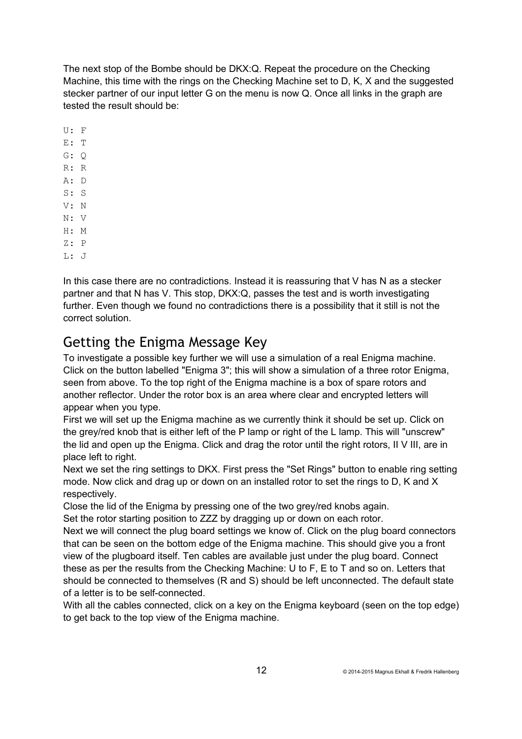The next stop of the Bombe should be DKX:Q. Repeat the procedure on the Checking Machine, this time with the rings on the Checking Machine set to D, K, X and the suggested stecker partner of our input letter G on the menu is now Q. Once all links in the graph are tested the result should be:

- U: F
- E: T
- G: Q
- R: R
- A: D
- S: S
- V: N
- N: V H: M
- Z: P
- L: J

In this case there are no contradictions. Instead it is reassuring that V has N as a stecker partner and that N has V. This stop, DKX:Q, passes the test and is worth investigating further. Even though we found no contradictions there is a possibility that it still is not the correct solution.

## Getting the Enigma Message Key

To investigate a possible key further we will use a simulation of a real Enigma machine. Click on the button labelled "Enigma 3"; this will show a simulation of a three rotor Enigma, seen from above. To the top right of the Enigma machine is a box of spare rotors and another reflector. Under the rotor box is an area where clear and encrypted letters will appear when you type.

First we will set up the Enigma machine as we currently think it should be set up. Click on the grey/red knob that is either left of the P lamp or right of the L lamp. This will "unscrew" the lid and open up the Enigma. Click and drag the rotor until the right rotors, II V III, are in place left to right.

Next we set the ring settings to DKX. First press the "Set Rings" button to enable ring setting mode. Now click and drag up or down on an installed rotor to set the rings to D, K and X respectively.

Close the lid of the Enigma by pressing one of the two grey/red knobs again.

Set the rotor starting position to ZZZ by dragging up or down on each rotor.

Next we will connect the plug board settings we know of. Click on the plug board connectors that can be seen on the bottom edge of the Enigma machine. This should give you a front view of the plugboard itself. Ten cables are available just under the plug board. Connect these as per the results from the Checking Machine: U to F, E to T and so on. Letters that should be connected to themselves (R and S) should be left unconnected. The default state of a letter is to be self-connected.

With all the cables connected, click on a key on the Enigma keyboard (seen on the top edge) to get back to the top view of the Enigma machine.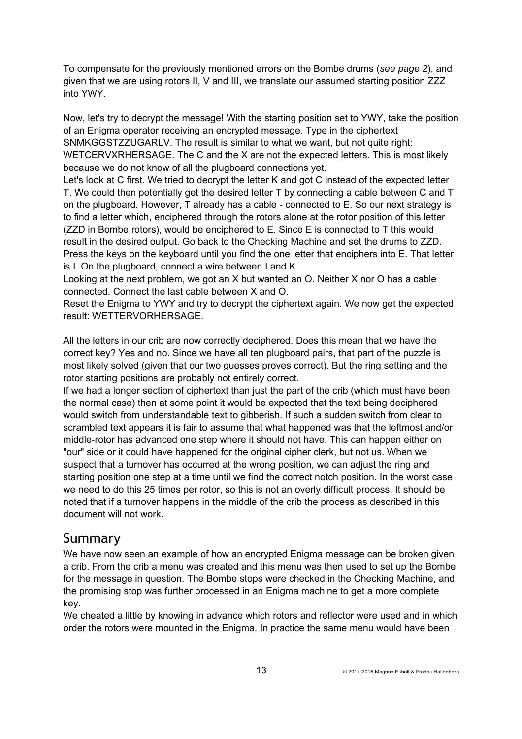To compensate for the previously mentioned errors on the Bombe drums (*see page 2*), and given that we are using rotors II, V and III, we translate our assumed starting position ZZZ into YWY.

Now, let's try to decrypt the message! With the starting position set to YWY, take the position of an Enigma operator receiving an encrypted message. Type in the ciphertext SNMKGGSTZZUGARLV. The result is similar to what we want, but not quite right: WETCERVXRHERSAGE. The C and the X are not the expected letters. This is most likely because we do not know of all the plugboard connections yet.

Let's look at C first. We tried to decrypt the letter K and got C instead of the expected letter T. We could then potentially get the desired letter T by connecting a cable between C and T on the plugboard. However, T already has a cable - connected to E. So our next strategy is to find a letter which, enciphered through the rotors alone at the rotor position of this letter (ZZD in Bombe rotors), would be enciphered to E. Since E is connected to T this would result in the desired output. Go back to the Checking Machine and set the drums to ZZD. Press the keys on the keyboard until you find the one letter that enciphers into E. That letter is I. On the plugboard, connect a wire between I and K.

Looking at the next problem, we got an X but wanted an O. Neither X nor O has a cable connected. Connect the last cable between X and O.

Reset the Enigma to YWY and try to decrypt the ciphertext again. We now get the expected result: WETTERVORHERSAGE.

All the letters in our crib are now correctly deciphered. Does this mean that we have the correct key? Yes and no. Since we have all ten plugboard pairs, that part of the puzzle is most likely solved (given that our two guesses proves correct). But the ring setting and the rotor starting positions are probably not entirely correct.

If we had a longer section of ciphertext than just the part of the crib (which must have been the normal case) then at some point it would be expected that the text being deciphered would switch from understandable text to gibberish. If such a sudden switch from clear to scrambled text appears it is fair to assume that what happened was that the leftmost and/or middle-rotor has advanced one step where it should not have. This can happen either on "our" side or it could have happened for the original cipher clerk, but not us. When we suspect that a turnover has occurred at the wrong position, we can adjust the ring and starting position one step at a time until we find the correct notch position. In the worst case we need to do this 25 times per rotor, so this is not an overly difficult process. It should be noted that if a turnover happens in the middle of the crib the process as described in this document will not work.

#### Summary

We have now seen an example of how an encrypted Enigma message can be broken given a crib. From the crib a menu was created and this menu was then used to set up the Bombe for the message in question. The Bombe stops were checked in the Checking Machine, and the promising stop was further processed in an Enigma machine to get a more complete key.

We cheated a little by knowing in advance which rotors and reflector were used and in which order the rotors were mounted in the Enigma. In practice the same menu would have been